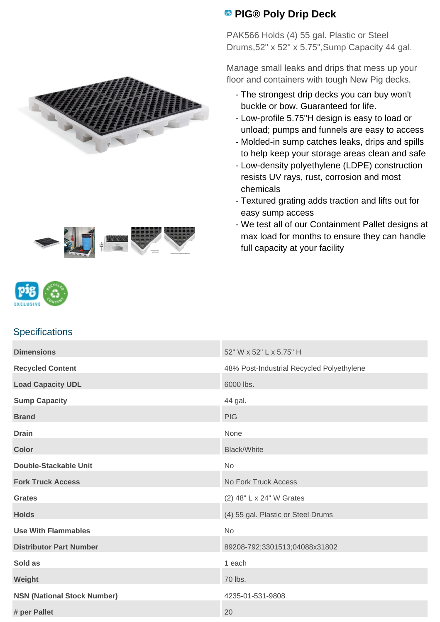



## **PIG® Poly Drip Deck**

PAK566 Holds (4) 55 gal. Plastic or Steel Drums,52" x 52" x 5.75",Sump Capacity 44 gal.

Manage small leaks and drips that mess up your floor and containers with tough New Pig decks.

- The strongest drip decks you can buy won't buckle or bow. Guaranteed for life.
- Low-profile 5.75"H design is easy to load or unload; pumps and funnels are easy to access
- Molded-in sump catches leaks, drips and spills to help keep your storage areas clean and safe
- Low-density polyethylene (LDPE) construction resists UV rays, rust, corrosion and most chemicals
- Textured grating adds traction and lifts out for easy sump access
- We test all of our Containment Pallet designs at max load for months to ensure they can handle full capacity at your facility



## **Specifications**

| <b>Dimensions</b>                  | 52" W x 52" L x 5.75" H                   |
|------------------------------------|-------------------------------------------|
| <b>Recycled Content</b>            | 48% Post-Industrial Recycled Polyethylene |
| <b>Load Capacity UDL</b>           | 6000 lbs.                                 |
| <b>Sump Capacity</b>               | 44 gal.                                   |
| <b>Brand</b>                       | <b>PIG</b>                                |
| <b>Drain</b>                       | None                                      |
| <b>Color</b>                       | <b>Black/White</b>                        |
| <b>Double-Stackable Unit</b>       | <b>No</b>                                 |
| <b>Fork Truck Access</b>           | No Fork Truck Access                      |
| <b>Grates</b>                      | (2) 48" L x 24" W Grates                  |
| <b>Holds</b>                       | (4) 55 gal. Plastic or Steel Drums        |
| <b>Use With Flammables</b>         | No                                        |
| <b>Distributor Part Number</b>     | 89208-792;3301513;04088x31802             |
| Sold as                            | 1 each                                    |
| Weight                             | 70 lbs.                                   |
| <b>NSN (National Stock Number)</b> | 4235-01-531-9808                          |
| # per Pallet                       | 20                                        |